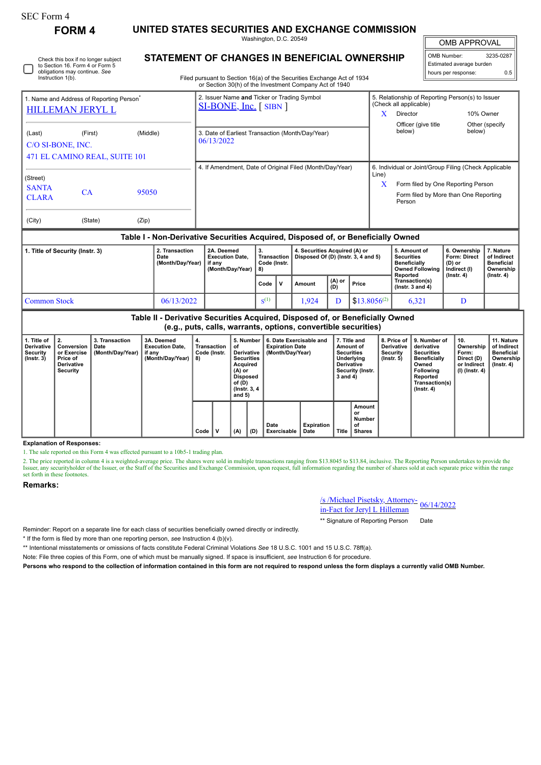| SEC Form 4 |  |
|------------|--|
|------------|--|

Check this box if no longer subject

**FORM 4 UNITED STATES SECURITIES AND EXCHANGE COMMISSION**

Washington, D.C. 20549 **STATEMENT OF CHANGES IN BENEFICIAL OWNERSHIP**

OMB APPROVAL

 $\mathbb{I}$ 

| OMB Number:              | 3235-0287 |
|--------------------------|-----------|
| Estimated average burden |           |
| hours per response:      | ሰ ¤       |
|                          |           |

| Instruction 1(b).           | to Section 16. Form 4 or Form 5<br>obligations may continue. See |          | Filed pursuant to Section 16(a) of the Securities Exchange Act of 1934           |       |                               | hours per response:                              | Estimated average burden                              | 0.5 |
|-----------------------------|------------------------------------------------------------------|----------|----------------------------------------------------------------------------------|-------|-------------------------------|--------------------------------------------------|-------------------------------------------------------|-----|
|                             |                                                                  |          | or Section 30(h) of the Investment Company Act of 1940                           |       |                               |                                                  |                                                       |     |
|                             | 1. Name and Address of Reporting Person <sup>®</sup>             |          | 2. Issuer Name and Ticker or Trading Symbol<br>$SL-BONE$ , Inc. $[$ SIBN $]$     |       | (Check all applicable)        | 5. Relationship of Reporting Person(s) to Issuer |                                                       |     |
|                             | <b>HILLEMAN JERYL L</b>                                          |          |                                                                                  | X     | Director                      |                                                  | 10% Owner                                             |     |
| (Last)<br>C/O SI-BONE, INC. | (First)                                                          | (Middle) | 3. Date of Earliest Transaction (Month/Day/Year)<br>06/13/2022                   |       | Officer (give title<br>below) |                                                  | Other (specify)<br>below)                             |     |
|                             | 471 EL CAMINO REAL, SUITE 101                                    |          |                                                                                  |       |                               |                                                  |                                                       |     |
| (Street)                    |                                                                  |          | 4. If Amendment, Date of Original Filed (Month/Day/Year)                         | Line) |                               |                                                  | 6. Individual or Joint/Group Filing (Check Applicable |     |
| <b>SANTA</b>                | CA                                                               | 95050    |                                                                                  | X     |                               |                                                  | Form filed by One Reporting Person                    |     |
| <b>CLARA</b>                |                                                                  |          |                                                                                  |       | Person                        |                                                  | Form filed by More than One Reporting                 |     |
| (City)                      | (State)                                                          | (Zip)    |                                                                                  |       |                               |                                                  |                                                       |     |
|                             |                                                                  |          | Table L. Non-Derivative Securities Acquired. Disposed of .or Reneficially Owned. |       |                               |                                                  |                                                       |     |

# **Table I - Non-Derivative Securities Acquired, Disposed of, or Beneficially Owned**

| 1. Title of Security (Instr. 3) | 2A. Deemed<br>2. Transaction<br>Date<br><b>Execution Date.</b><br>(Month/Dav/Year)<br>if anv<br>(Month/Day/Year) $  8$ ) |  | З.<br>Transaction<br>Code (Instr. |  | 4. Securities Acquired (A) or<br>Disposed Of (D) (lnstr. 3, 4 and 5) |                     |                  | 5. Amount of<br><b>Securities</b><br><b>Beneficially</b><br><b>Owned Following</b><br>Reported | 6. Ownership<br><b>Form: Direct</b><br>(D) or<br>Indirect (I)<br>$($ lnstr. 4 $)$ | . Nature<br>of Indirect<br><b>Beneficial</b><br>Ownership<br>$($ lnstr. 4 $)$ |
|---------------------------------|--------------------------------------------------------------------------------------------------------------------------|--|-----------------------------------|--|----------------------------------------------------------------------|---------------------|------------------|------------------------------------------------------------------------------------------------|-----------------------------------------------------------------------------------|-------------------------------------------------------------------------------|
|                                 |                                                                                                                          |  | Code                              |  | Amount                                                               | $(A)$ or $ $<br>(D) | Price            | Transaction(s)<br>( $lnstr.$ 3 and 4)                                                          |                                                                                   |                                                                               |
| <b>Common Stock</b>             | 06/13/2022                                                                                                               |  | $S^{(1)}$                         |  | .924                                                                 |                     | $$13.8056^{(2)}$ | 6.321                                                                                          |                                                                                   |                                                                               |

**Table II - Derivative Securities Acquired, Disposed of, or Beneficially Owned**

### **(e.g., puts, calls, warrants, options, convertible securities) 3A. Deemed 4. 5. Number 6. Date Exercisable and 7. Title and 8. Price of**

| 1. Title of<br><b>Derivative</b><br>Security<br>$($ lnstr. 3 $)$ | Conversion<br>or Exercise<br>Price of<br><b>Derivative</b><br><b>Security</b> | 3. Transaction<br>Date<br>(Month/Day/Year) | 3A. Deemed<br><b>Execution Date.</b><br>if any<br>(Month/Day/Year) | 4.<br>Transaction<br>Code (Instr.<br>8) |  | of<br>Derivative I<br><b>Securities</b><br>Acquired<br>(A) or<br><b>Disposed</b><br>of (D)<br>(Instr. 3, 4<br>and 5) |     | 5. Number   6. Date Exercisable and<br><b>Expiration Date</b><br>(Month/Day/Year) |                    | 7. Title and<br>Amount of<br><b>Securities</b><br>Underlying<br><b>Derivative</b><br>Security (Instr.<br>3 and 4) |                                               | Derivative  <br><b>Security</b><br>$($ lnstr. 5 $)$ | 8. Price of 19. Number of<br>derivative<br><b>Securities</b><br><b>Beneficially</b><br>Owned<br>Following<br>Reported<br>Transaction(s)<br>(Instr. 4) | 10.<br>Ownership<br>Form:<br>Direct (D)<br>or Indirect<br>(I) (Instr. 4) | 11. Nature<br>of Indirect<br><b>Beneficial</b><br>Ownership<br>(Instr. 4) |
|------------------------------------------------------------------|-------------------------------------------------------------------------------|--------------------------------------------|--------------------------------------------------------------------|-----------------------------------------|--|----------------------------------------------------------------------------------------------------------------------|-----|-----------------------------------------------------------------------------------|--------------------|-------------------------------------------------------------------------------------------------------------------|-----------------------------------------------|-----------------------------------------------------|-------------------------------------------------------------------------------------------------------------------------------------------------------|--------------------------------------------------------------------------|---------------------------------------------------------------------------|
|                                                                  |                                                                               |                                            |                                                                    | Code                                    |  | (A)                                                                                                                  | (D) | Date<br>Exercisable                                                               | Expiration<br>Date | Title                                                                                                             | Amount<br>or<br>Number<br>οf<br><b>Shares</b> |                                                     |                                                                                                                                                       |                                                                          |                                                                           |

**Explanation of Responses:**

1. The sale reported on this Form 4 was effected pursuant to a 10b5-1 trading plan.

2. The price reported in column 4 is a weighted-average price. The shares were sold in multiple transactions ranging from \$13.8045 to \$13.84, inclusive. The Reporting Person undertakes to provide the Issuer, any securityholder of the Issuer, or the Staff of the Securities and Exchange Commission, upon request, full information regarding the number of shares sold at each separate price within the range set forth in thes

# **Remarks:**

/s /Michael Pisetsky, Attorney- $\frac{1}{18}$  / S/Michael Fiselsky, Altoniey- $\frac{06}{14/2022}$ <br>in-Fact for Jeryl L Hilleman

\*\* Signature of Reporting Person Date

Reminder: Report on a separate line for each class of securities beneficially owned directly or indirectly.

\* If the form is filed by more than one reporting person, *see* Instruction 4 (b)(v).

\*\* Intentional misstatements or omissions of facts constitute Federal Criminal Violations *See* 18 U.S.C. 1001 and 15 U.S.C. 78ff(a).

Note: File three copies of this Form, one of which must be manually signed. If space is insufficient, *see* Instruction 6 for procedure.

**Persons who respond to the collection of information contained in this form are not required to respond unless the form displays a currently valid OMB Number.**